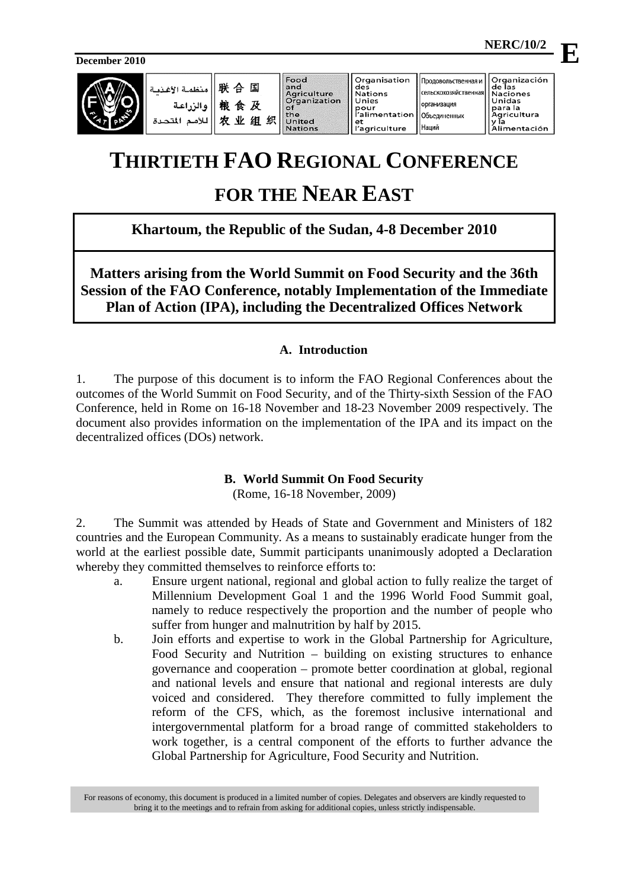**December 2010**



# **THIRTIETH FAO REGIONAL CONFERENCE**

# **FOR THE NEAR EAST**

**Khartoum, the Republic of the Sudan, 4-8 December 2010**

**Matters arising from the World Summit on Food Security and the 36th Session of the FAO Conference, notably Implementation of the Immediate Plan of Action (IPA), including the Decentralized Offices Network** 

# **A. Introduction**

1. The purpose of this document is to inform the FAO Regional Conferences about the outcomes of the World Summit on Food Security, and of the Thirty-sixth Session of the FAO Conference, held in Rome on 16-18 November and 18-23 November 2009 respectively. The document also provides information on the implementation of the IPA and its impact on the decentralized offices (DOs) network.

# **B. World Summit On Food Security**

(Rome, 16-18 November, 2009)

2. The Summit was attended by Heads of State and Government and Ministers of 182 countries and the European Community. As a means to sustainably eradicate hunger from the world at the earliest possible date, Summit participants unanimously adopted a Declaration whereby they committed themselves to reinforce efforts to:

- a. Ensure urgent national, regional and global action to fully realize the target of Millennium Development Goal 1 and the 1996 World Food Summit goal, namely to reduce respectively the proportion and the number of people who suffer from hunger and malnutrition by half by 2015.
- b. Join efforts and expertise to work in the Global Partnership for Agriculture, Food Security and Nutrition – building on existing structures to enhance governance and cooperation – promote better coordination at global, regional and national levels and ensure that national and regional interests are duly voiced and considered. They therefore committed to fully implement the reform of the CFS, which, as the foremost inclusive international and intergovernmental platform for a broad range of committed stakeholders to work together, is a central component of the efforts to further advance the Global Partnership for Agriculture, Food Security and Nutrition.

For reasons of economy, this document is produced in a limited number of copies. Delegates and observers are kindly requested to bring it to the meetings and to refrain from asking for additional copies, unless strictly indispensable.

 $\mathbf{F}$ 

 **NERC/10/2**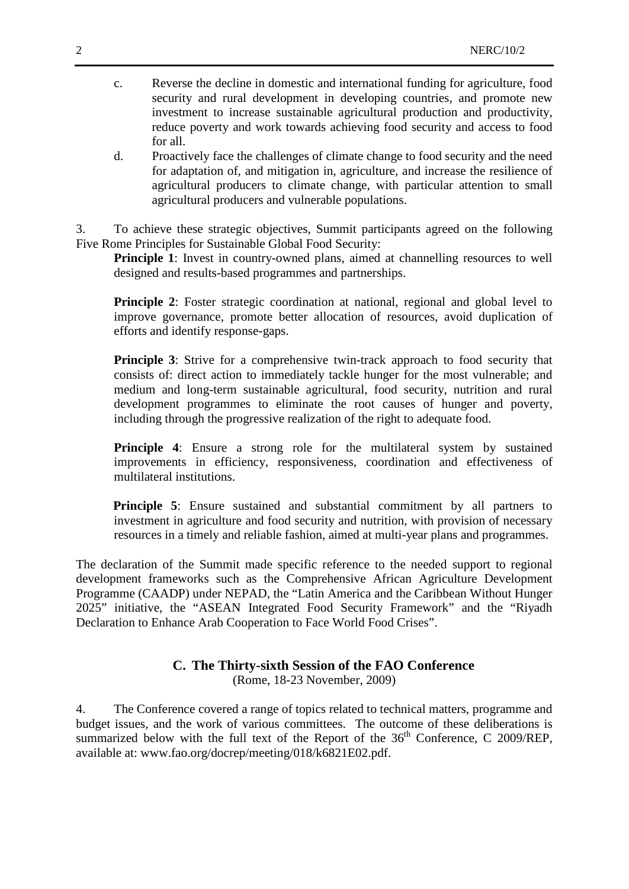- c. Reverse the decline in domestic and international funding for agriculture, food security and rural development in developing countries, and promote new investment to increase sustainable agricultural production and productivity, reduce poverty and work towards achieving food security and access to food for all.
- d. Proactively face the challenges of climate change to food security and the need for adaptation of, and mitigation in, agriculture, and increase the resilience of agricultural producers to climate change, with particular attention to small agricultural producers and vulnerable populations.

3. To achieve these strategic objectives, Summit participants agreed on the following Five Rome Principles for Sustainable Global Food Security:

**Principle 1**: Invest in country-owned plans, aimed at channelling resources to well designed and results-based programmes and partnerships.

**Principle 2:** Foster strategic coordination at national, regional and global level to improve governance, promote better allocation of resources, avoid duplication of efforts and identify response-gaps.

**Principle 3**: Strive for a comprehensive twin-track approach to food security that consists of: direct action to immediately tackle hunger for the most vulnerable; and medium and long-term sustainable agricultural, food security, nutrition and rural development programmes to eliminate the root causes of hunger and poverty, including through the progressive realization of the right to adequate food.

**Principle 4**: Ensure a strong role for the multilateral system by sustained improvements in efficiency, responsiveness, coordination and effectiveness of multilateral institutions.

**Principle 5**: Ensure sustained and substantial commitment by all partners to investment in agriculture and food security and nutrition, with provision of necessary resources in a timely and reliable fashion, aimed at multi-year plans and programmes.

The declaration of the Summit made specific reference to the needed support to regional development frameworks such as the Comprehensive African Agriculture Development Programme (CAADP) under NEPAD, the "Latin America and the Caribbean Without Hunger 2025" initiative, the "ASEAN Integrated Food Security Framework" and the "Riyadh Declaration to Enhance Arab Cooperation to Face World Food Crises".

# **C. The Thirty-sixth Session of the FAO Conference**

(Rome, 18-23 November, 2009)

4. The Conference covered a range of topics related to technical matters, programme and budget issues, and the work of various committees. The outcome of these deliberations is summarized below with the full text of the Report of the 36<sup>th</sup> Conference, C 2009/REP, available at: www.fao.org/docrep/meeting/018/k6821E02.pdf.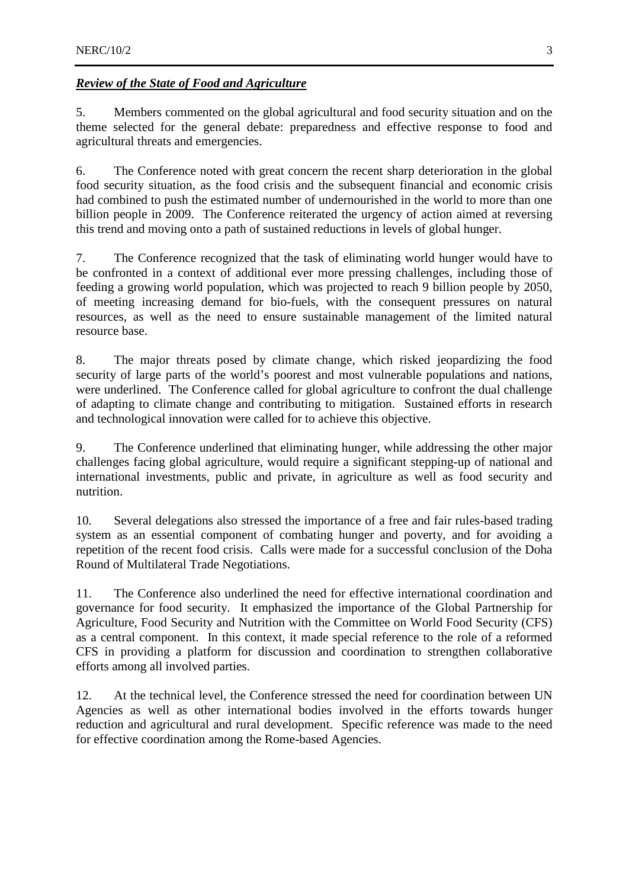#### *Review of the State of Food and Agriculture*

5. Members commented on the global agricultural and food security situation and on the theme selected for the general debate: preparedness and effective response to food and agricultural threats and emergencies.

6. The Conference noted with great concern the recent sharp deterioration in the global food security situation, as the food crisis and the subsequent financial and economic crisis had combined to push the estimated number of undernourished in the world to more than one billion people in 2009. The Conference reiterated the urgency of action aimed at reversing this trend and moving onto a path of sustained reductions in levels of global hunger.

7. The Conference recognized that the task of eliminating world hunger would have to be confronted in a context of additional ever more pressing challenges, including those of feeding a growing world population, which was projected to reach 9 billion people by 2050, of meeting increasing demand for bio-fuels, with the consequent pressures on natural resources, as well as the need to ensure sustainable management of the limited natural resource base.

8. The major threats posed by climate change, which risked jeopardizing the food security of large parts of the world's poorest and most vulnerable populations and nations, were underlined. The Conference called for global agriculture to confront the dual challenge of adapting to climate change and contributing to mitigation. Sustained efforts in research and technological innovation were called for to achieve this objective.

9. The Conference underlined that eliminating hunger, while addressing the other major challenges facing global agriculture, would require a significant stepping-up of national and international investments, public and private, in agriculture as well as food security and nutrition.

10. Several delegations also stressed the importance of a free and fair rules-based trading system as an essential component of combating hunger and poverty, and for avoiding a repetition of the recent food crisis. Calls were made for a successful conclusion of the Doha Round of Multilateral Trade Negotiations.

11. The Conference also underlined the need for effective international coordination and governance for food security. It emphasized the importance of the Global Partnership for Agriculture, Food Security and Nutrition with the Committee on World Food Security (CFS) as a central component. In this context, it made special reference to the role of a reformed CFS in providing a platform for discussion and coordination to strengthen collaborative efforts among all involved parties.

12. At the technical level, the Conference stressed the need for coordination between UN Agencies as well as other international bodies involved in the efforts towards hunger reduction and agricultural and rural development. Specific reference was made to the need for effective coordination among the Rome-based Agencies.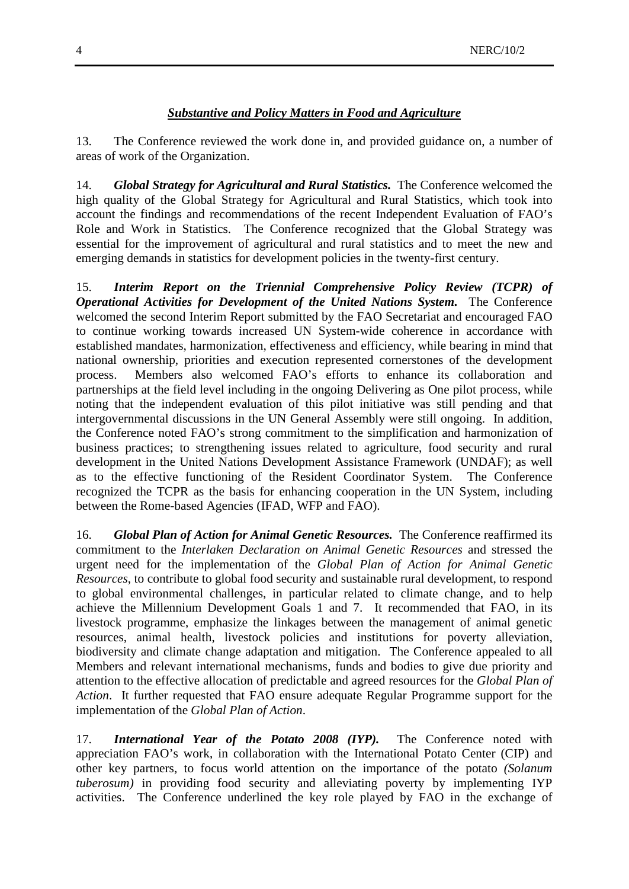#### *Substantive and Policy Matters in Food and Agriculture*

13. The Conference reviewed the work done in, and provided guidance on, a number of areas of work of the Organization.

14. *Global Strategy for Agricultural and Rural Statistics.* The Conference welcomed the high quality of the Global Strategy for Agricultural and Rural Statistics, which took into account the findings and recommendations of the recent Independent Evaluation of FAO's Role and Work in Statistics. The Conference recognized that the Global Strategy was essential for the improvement of agricultural and rural statistics and to meet the new and emerging demands in statistics for development policies in the twenty-first century.

15. *Interim Report on the Triennial Comprehensive Policy Review (TCPR) of Operational Activities for Development of the United Nations System.* The Conference welcomed the second Interim Report submitted by the FAO Secretariat and encouraged FAO to continue working towards increased UN System-wide coherence in accordance with established mandates, harmonization, effectiveness and efficiency, while bearing in mind that national ownership, priorities and execution represented cornerstones of the development process. Members also welcomed FAO's efforts to enhance its collaboration and partnerships at the field level including in the ongoing Delivering as One pilot process, while noting that the independent evaluation of this pilot initiative was still pending and that intergovernmental discussions in the UN General Assembly were still ongoing. In addition, the Conference noted FAO's strong commitment to the simplification and harmonization of business practices; to strengthening issues related to agriculture, food security and rural development in the United Nations Development Assistance Framework (UNDAF); as well as to the effective functioning of the Resident Coordinator System. The Conference recognized the TCPR as the basis for enhancing cooperation in the UN System, including between the Rome-based Agencies (IFAD, WFP and FAO).

16. *Global Plan of Action for Animal Genetic Resources.* The Conference reaffirmed its commitment to the *Interlaken Declaration on Animal Genetic Resources* and stressed the urgent need for the implementation of the *Global Plan of Action for Animal Genetic Resources*, to contribute to global food security and sustainable rural development, to respond to global environmental challenges, in particular related to climate change, and to help achieve the Millennium Development Goals 1 and 7. It recommended that FAO, in its livestock programme, emphasize the linkages between the management of animal genetic resources, animal health, livestock policies and institutions for poverty alleviation, biodiversity and climate change adaptation and mitigation. The Conference appealed to all Members and relevant international mechanisms, funds and bodies to give due priority and attention to the effective allocation of predictable and agreed resources for the *Global Plan of Action*. It further requested that FAO ensure adequate Regular Programme support for the implementation of the *Global Plan of Action*.

17. *International Year of the Potato 2008 (IYP).* The Conference noted with appreciation FAO's work, in collaboration with the International Potato Center (CIP) and other key partners, to focus world attention on the importance of the potato *(Solanum tuberosum)* in providing food security and alleviating poverty by implementing IYP activities. The Conference underlined the key role played by FAO in the exchange of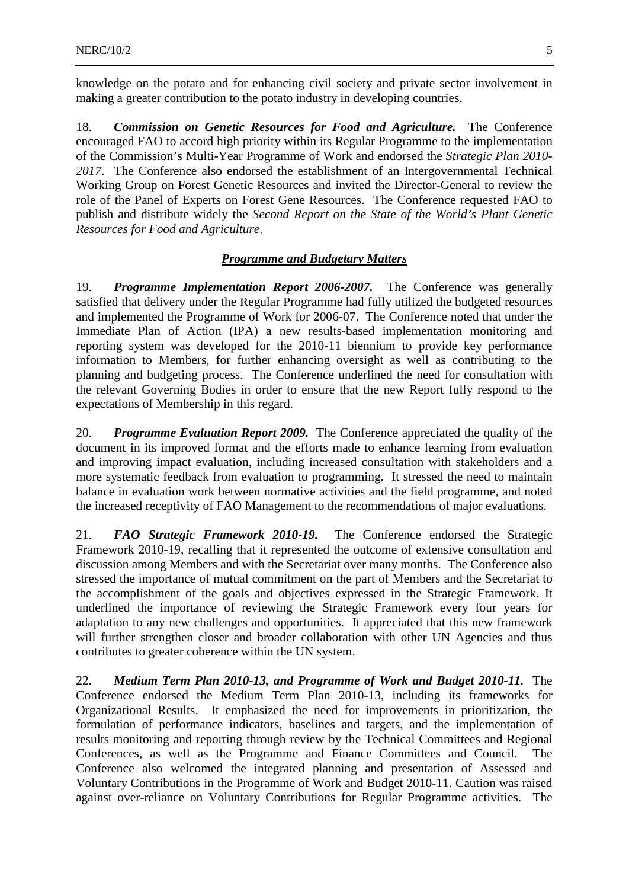knowledge on the potato and for enhancing civil society and private sector involvement in making a greater contribution to the potato industry in developing countries.

18. *Commission on Genetic Resources for Food and Agriculture.* The Conference encouraged FAO to accord high priority within its Regular Programme to the implementation of the Commission's Multi-Year Programme of Work and endorsed the *Strategic Plan 2010- 2017*. The Conference also endorsed the establishment of an Intergovernmental Technical Working Group on Forest Genetic Resources and invited the Director-General to review the role of the Panel of Experts on Forest Gene Resources. The Conference requested FAO to publish and distribute widely the *Second Report on the State of the World's Plant Genetic Resources for Food and Agriculture*.

#### *Programme and Budgetary Matters*

19. *Programme Implementation Report 2006-2007.* The Conference was generally satisfied that delivery under the Regular Programme had fully utilized the budgeted resources and implemented the Programme of Work for 2006-07. The Conference noted that under the Immediate Plan of Action (IPA) a new results-based implementation monitoring and reporting system was developed for the 2010-11 biennium to provide key performance information to Members, for further enhancing oversight as well as contributing to the planning and budgeting process. The Conference underlined the need for consultation with the relevant Governing Bodies in order to ensure that the new Report fully respond to the expectations of Membership in this regard.

20. *Programme Evaluation Report 2009.* The Conference appreciated the quality of the document in its improved format and the efforts made to enhance learning from evaluation and improving impact evaluation, including increased consultation with stakeholders and a more systematic feedback from evaluation to programming. It stressed the need to maintain balance in evaluation work between normative activities and the field programme, and noted the increased receptivity of FAO Management to the recommendations of major evaluations.

21. *FAO Strategic Framework 2010-19.* The Conference endorsed the Strategic Framework 2010-19, recalling that it represented the outcome of extensive consultation and discussion among Members and with the Secretariat over many months. The Conference also stressed the importance of mutual commitment on the part of Members and the Secretariat to the accomplishment of the goals and objectives expressed in the Strategic Framework. It underlined the importance of reviewing the Strategic Framework every four years for adaptation to any new challenges and opportunities. It appreciated that this new framework will further strengthen closer and broader collaboration with other UN Agencies and thus contributes to greater coherence within the UN system.

22. *Medium Term Plan 2010-13, and Programme of Work and Budget 2010-11.* The Conference endorsed the Medium Term Plan 2010-13, including its frameworks for Organizational Results. It emphasized the need for improvements in prioritization, the formulation of performance indicators, baselines and targets, and the implementation of results monitoring and reporting through review by the Technical Committees and Regional Conferences, as well as the Programme and Finance Committees and Council. The Conference also welcomed the integrated planning and presentation of Assessed and Voluntary Contributions in the Programme of Work and Budget 2010-11. Caution was raised against over-reliance on Voluntary Contributions for Regular Programme activities. The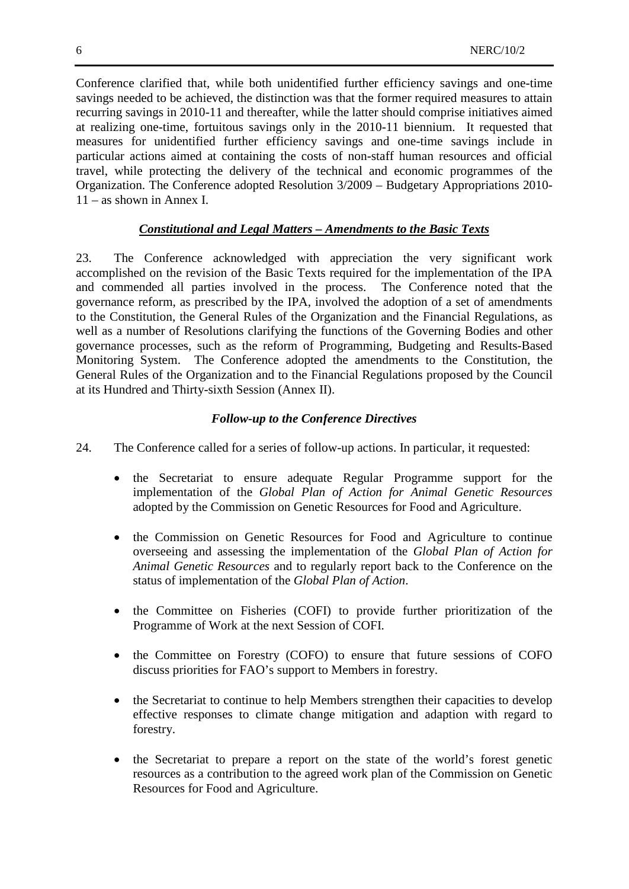Conference clarified that, while both unidentified further efficiency savings and one-time savings needed to be achieved, the distinction was that the former required measures to attain recurring savings in 2010-11 and thereafter, while the latter should comprise initiatives aimed at realizing one-time, fortuitous savings only in the 2010-11 biennium. It requested that measures for unidentified further efficiency savings and one-time savings include in particular actions aimed at containing the costs of non-staff human resources and official travel, while protecting the delivery of the technical and economic programmes of the Organization. The Conference adopted Resolution 3/2009 – Budgetary Appropriations 2010- 11 – as shown in Annex I.

# *Constitutional and Legal Matters – Amendments to the Basic Texts*

23. The Conference acknowledged with appreciation the very significant work accomplished on the revision of the Basic Texts required for the implementation of the IPA and commended all parties involved in the process. The Conference noted that the governance reform, as prescribed by the IPA, involved the adoption of a set of amendments to the Constitution, the General Rules of the Organization and the Financial Regulations, as well as a number of Resolutions clarifying the functions of the Governing Bodies and other governance processes, such as the reform of Programming, Budgeting and Results-Based Monitoring System. The Conference adopted the amendments to the Constitution, the General Rules of the Organization and to the Financial Regulations proposed by the Council at its Hundred and Thirty-sixth Session (Annex II).

# *Follow-up to the Conference Directives*

- 24. The Conference called for a series of follow-up actions. In particular, it requested:
	- the Secretariat to ensure adequate Regular Programme support for the implementation of the *Global Plan of Action for Animal Genetic Resources* adopted by the Commission on Genetic Resources for Food and Agriculture.
	- the Commission on Genetic Resources for Food and Agriculture to continue overseeing and assessing the implementation of the *Global Plan of Action for Animal Genetic Resources* and to regularly report back to the Conference on the status of implementation of the *Global Plan of Action*.
	- the Committee on Fisheries (COFI) to provide further prioritization of the Programme of Work at the next Session of COFI.
	- the Committee on Forestry (COFO) to ensure that future sessions of COFO discuss priorities for FAO's support to Members in forestry.
	- the Secretariat to continue to help Members strengthen their capacities to develop effective responses to climate change mitigation and adaption with regard to forestry.
	- the Secretariat to prepare a report on the state of the world's forest genetic resources as a contribution to the agreed work plan of the Commission on Genetic Resources for Food and Agriculture.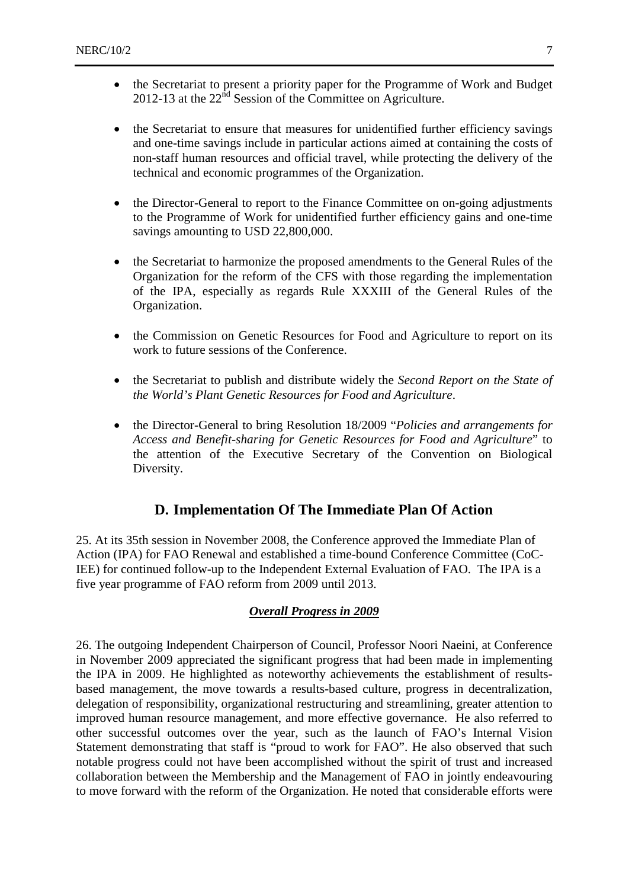- the Secretariat to present a priority paper for the Programme of Work and Budget 2012-13 at the  $22<sup>nd</sup>$  Session of the Committee on Agriculture.
- the Secretariat to ensure that measures for unidentified further efficiency savings and one-time savings include in particular actions aimed at containing the costs of non-staff human resources and official travel, while protecting the delivery of the technical and economic programmes of the Organization.
- the Director-General to report to the Finance Committee on on-going adjustments to the Programme of Work for unidentified further efficiency gains and one-time savings amounting to USD 22,800,000.
- the Secretariat to harmonize the proposed amendments to the General Rules of the Organization for the reform of the CFS with those regarding the implementation of the IPA, especially as regards Rule XXXIII of the General Rules of the Organization.
- the Commission on Genetic Resources for Food and Agriculture to report on its work to future sessions of the Conference.
- the Secretariat to publish and distribute widely the *Second Report on the State of the World's Plant Genetic Resources for Food and Agriculture*.
- the Director-General to bring Resolution 18/2009 "*Policies and arrangements for Access and Benefit-sharing for Genetic Resources for Food and Agriculture*" to the attention of the Executive Secretary of the Convention on Biological Diversity.

# **D. Implementation Of The Immediate Plan Of Action**

25. At its 35th session in November 2008, the Conference approved the Immediate Plan of Action (IPA) for FAO Renewal and established a time-bound Conference Committee (CoC-IEE) for continued follow-up to the Independent External Evaluation of FAO. The IPA is a five year programme of FAO reform from 2009 until 2013.

#### *Overall Progress in 2009*

26. The outgoing Independent Chairperson of Council, Professor Noori Naeini, at Conference in November 2009 appreciated the significant progress that had been made in implementing the IPA in 2009. He highlighted as noteworthy achievements the establishment of resultsbased management, the move towards a results-based culture, progress in decentralization, delegation of responsibility, organizational restructuring and streamlining, greater attention to improved human resource management, and more effective governance. He also referred to other successful outcomes over the year, such as the launch of FAO's Internal Vision Statement demonstrating that staff is "proud to work for FAO". He also observed that such notable progress could not have been accomplished without the spirit of trust and increased collaboration between the Membership and the Management of FAO in jointly endeavouring to move forward with the reform of the Organization. He noted that considerable efforts were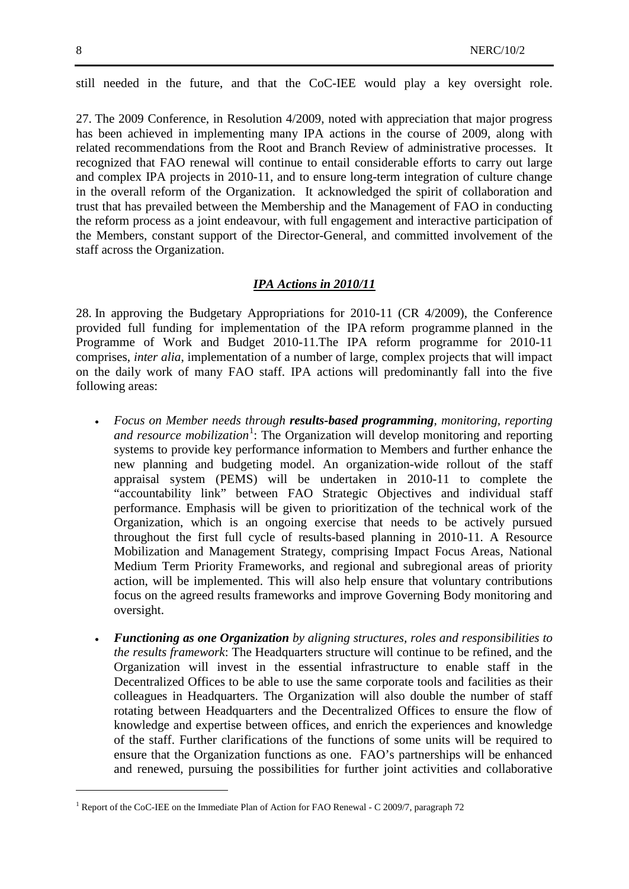-

still needed in the future, and that the CoC-IEE would play a key oversight role.

27. The 2009 Conference, in Resolution 4/2009, noted with appreciation that major progress has been achieved in implementing many IPA actions in the course of 2009, along with related recommendations from the Root and Branch Review of administrative processes. It recognized that FAO renewal will continue to entail considerable efforts to carry out large and complex IPA projects in 2010-11, and to ensure long-term integration of culture change in the overall reform of the Organization. It acknowledged the spirit of collaboration and trust that has prevailed between the Membership and the Management of FAO in conducting the reform process as a joint endeavour, with full engagement and interactive participation of the Members, constant support of the Director-General, and committed involvement of the staff across the Organization.

#### *IPA Actions in 2010/11*

28. In approving the Budgetary Appropriations for 2010-11 (CR 4/2009), the Conference provided full funding for implementation of the IPA reform programme planned in the Programme of Work and Budget 2010-11.The IPA reform programme for 2010-11 comprises, *inter alia*, implementation of a number of large, complex projects that will impact on the daily work of many FAO staff. IPA actions will predominantly fall into the five following areas:

- *Focus on Member needs through results-based programming, monitoring, reporting*  and resource mobilization<sup>[1](#page-7-0)</sup>: The Organization will develop monitoring and reporting systems to provide key performance information to Members and further enhance the new planning and budgeting model. An organization-wide rollout of the staff appraisal system (PEMS) will be undertaken in 2010-11 to complete the "accountability link" between FAO Strategic Objectives and individual staff performance. Emphasis will be given to prioritization of the technical work of the Organization, which is an ongoing exercise that needs to be actively pursued throughout the first full cycle of results-based planning in 2010-11. A Resource Mobilization and Management Strategy, comprising Impact Focus Areas, National Medium Term Priority Frameworks, and regional and subregional areas of priority action, will be implemented. This will also help ensure that voluntary contributions focus on the agreed results frameworks and improve Governing Body monitoring and oversight.
- *Functioning as one Organization by aligning structures, roles and responsibilities to the results framework*: The Headquarters structure will continue to be refined, and the Organization will invest in the essential infrastructure to enable staff in the Decentralized Offices to be able to use the same corporate tools and facilities as their colleagues in Headquarters. The Organization will also double the number of staff rotating between Headquarters and the Decentralized Offices to ensure the flow of knowledge and expertise between offices, and enrich the experiences and knowledge of the staff. Further clarifications of the functions of some units will be required to ensure that the Organization functions as one. FAO's partnerships will be enhanced and renewed, pursuing the possibilities for further joint activities and collaborative

<span id="page-7-0"></span><sup>&</sup>lt;sup>1</sup> Report of the CoC-IEE on the Immediate Plan of Action for FAO Renewal - C 2009/7, paragraph 72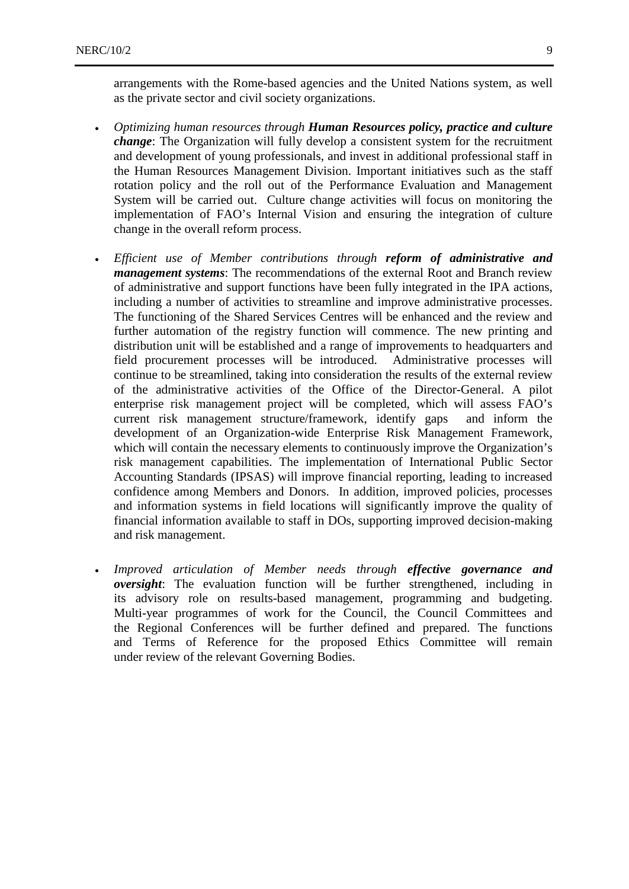arrangements with the Rome-based agencies and the United Nations system, as well as the private sector and civil society organizations.

- *Optimizing human resources through Human Resources policy, practice and culture change*: The Organization will fully develop a consistent system for the recruitment and development of young professionals, and invest in additional professional staff in the Human Resources Management Division. Important initiatives such as the staff rotation policy and the roll out of the Performance Evaluation and Management System will be carried out. Culture change activities will focus on monitoring the implementation of FAO's Internal Vision and ensuring the integration of culture change in the overall reform process.
- *Efficient use of Member contributions through reform of administrative and management systems*: The recommendations of the external Root and Branch review of administrative and support functions have been fully integrated in the IPA actions, including a number of activities to streamline and improve administrative processes. The functioning of the Shared Services Centres will be enhanced and the review and further automation of the registry function will commence. The new printing and distribution unit will be established and a range of improvements to headquarters and field procurement processes will be introduced. Administrative processes will continue to be streamlined, taking into consideration the results of the external review of the administrative activities of the Office of the Director-General. A pilot enterprise risk management project will be completed, which will assess FAO's current risk management structure/framework, identify gaps and inform the development of an Organization-wide Enterprise Risk Management Framework, which will contain the necessary elements to continuously improve the Organization's risk management capabilities. The implementation of International Public Sector Accounting Standards (IPSAS) will improve financial reporting, leading to increased confidence among Members and Donors. In addition, improved policies, processes and information systems in field locations will significantly improve the quality of financial information available to staff in DOs, supporting improved decision-making and risk management.
- *Improved articulation of Member needs through effective governance and oversight*: The evaluation function will be further strengthened, including in its advisory role on results-based management, programming and budgeting. Multi-year programmes of work for the Council, the Council Committees and the Regional Conferences will be further defined and prepared. The functions and Terms of Reference for the proposed Ethics Committee will remain under review of the relevant Governing Bodies.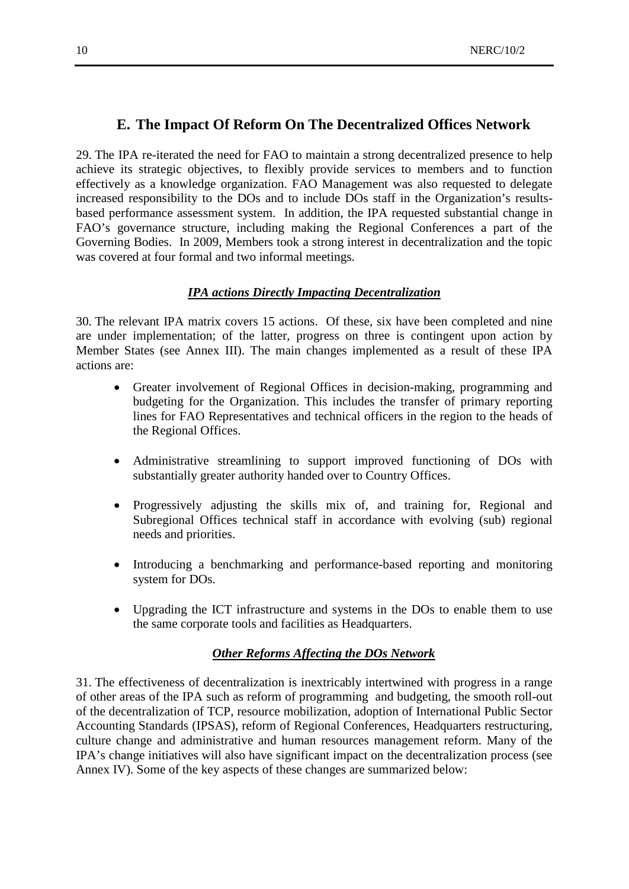# **E. The Impact Of Reform On The Decentralized Offices Network**

29. The IPA re-iterated the need for FAO to maintain a strong decentralized presence to help achieve its strategic objectives, to flexibly provide services to members and to function effectively as a knowledge organization. FAO Management was also requested to delegate increased responsibility to the DOs and to include DOs staff in the Organization's resultsbased performance assessment system. In addition, the IPA requested substantial change in FAO's governance structure, including making the Regional Conferences a part of the Governing Bodies. In 2009, Members took a strong interest in decentralization and the topic was covered at four formal and two informal meetings.

## *IPA actions Directly Impacting Decentralization*

30. The relevant IPA matrix covers 15 actions. Of these, six have been completed and nine are under implementation; of the latter, progress on three is contingent upon action by Member States (see Annex III). The main changes implemented as a result of these IPA actions are:

- Greater involvement of Regional Offices in decision-making, programming and budgeting for the Organization. This includes the transfer of primary reporting lines for FAO Representatives and technical officers in the region to the heads of the Regional Offices.
- Administrative streamlining to support improved functioning of DOs with substantially greater authority handed over to Country Offices.
- Progressively adjusting the skills mix of, and training for, Regional and Subregional Offices technical staff in accordance with evolving (sub) regional needs and priorities.
- Introducing a benchmarking and performance-based reporting and monitoring system for DOs.
- Upgrading the ICT infrastructure and systems in the DOs to enable them to use the same corporate tools and facilities as Headquarters.

## *Other Reforms Affecting the DOs Network*

31. The effectiveness of decentralization is inextricably intertwined with progress in a range of other areas of the IPA such as reform of programming and budgeting, the smooth roll-out of the decentralization of TCP, resource mobilization, adoption of International Public Sector Accounting Standards (IPSAS), reform of Regional Conferences, Headquarters restructuring, culture change and administrative and human resources management reform. Many of the IPA's change initiatives will also have significant impact on the decentralization process (see Annex IV). Some of the key aspects of these changes are summarized below: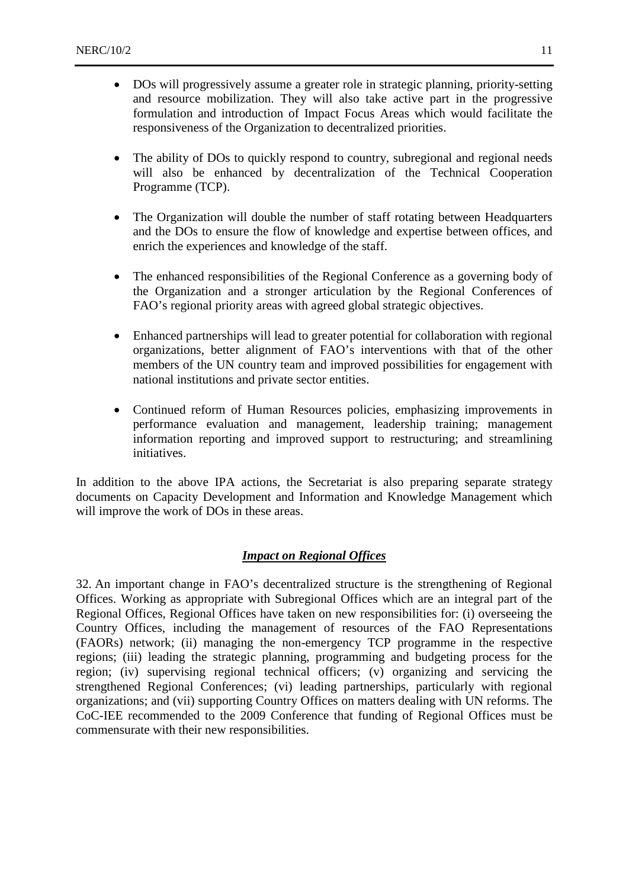- DOs will progressively assume a greater role in strategic planning, priority-setting and resource mobilization. They will also take active part in the progressive formulation and introduction of Impact Focus Areas which would facilitate the responsiveness of the Organization to decentralized priorities.
- The ability of DOs to quickly respond to country, subregional and regional needs will also be enhanced by decentralization of the Technical Cooperation Programme (TCP).
- The Organization will double the number of staff rotating between Headquarters and the DOs to ensure the flow of knowledge and expertise between offices, and enrich the experiences and knowledge of the staff.
- The enhanced responsibilities of the Regional Conference as a governing body of the Organization and a stronger articulation by the Regional Conferences of FAO's regional priority areas with agreed global strategic objectives.
- Enhanced partnerships will lead to greater potential for collaboration with regional organizations, better alignment of FAO's interventions with that of the other members of the UN country team and improved possibilities for engagement with national institutions and private sector entities.
- Continued reform of Human Resources policies, emphasizing improvements in performance evaluation and management, leadership training; management information reporting and improved support to restructuring; and streamlining initiatives.

In addition to the above IPA actions, the Secretariat is also preparing separate strategy documents on Capacity Development and Information and Knowledge Management which will improve the work of DOs in these areas.

## *Impact on Regional Offices*

32. An important change in FAO's decentralized structure is the strengthening of Regional Offices. Working as appropriate with Subregional Offices which are an integral part of the Regional Offices, Regional Offices have taken on new responsibilities for: (i) overseeing the Country Offices, including the management of resources of the FAO Representations (FAORs) network; (ii) managing the non-emergency TCP programme in the respective regions; (iii) leading the strategic planning, programming and budgeting process for the region; (iv) supervising regional technical officers; (v) organizing and servicing the strengthened Regional Conferences; (vi) leading partnerships, particularly with regional organizations; and (vii) supporting Country Offices on matters dealing with UN reforms. The CoC-IEE recommended to the 2009 Conference that funding of Regional Offices must be commensurate with their new responsibilities.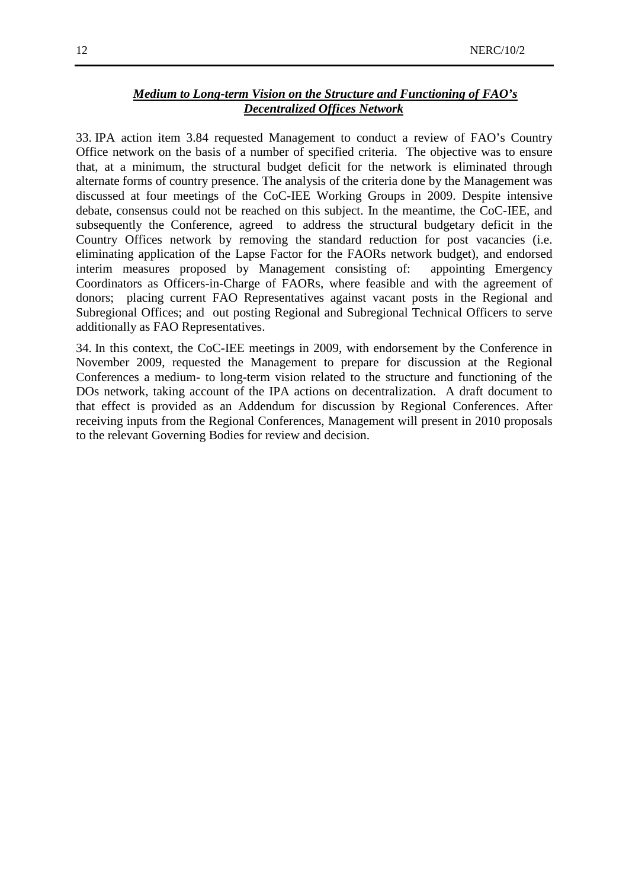## *Medium to Long-term Vision on the Structure and Functioning of FAO's Decentralized Offices Network*

33. IPA action item 3.84 requested Management to conduct a review of FAO's Country Office network on the basis of a number of specified criteria. The objective was to ensure that, at a minimum, the structural budget deficit for the network is eliminated through alternate forms of country presence. The analysis of the criteria done by the Management was discussed at four meetings of the CoC-IEE Working Groups in 2009. Despite intensive debate, consensus could not be reached on this subject. In the meantime, the CoC-IEE, and subsequently the Conference, agreed to address the structural budgetary deficit in the Country Offices network by removing the standard reduction for post vacancies (i.e. eliminating application of the Lapse Factor for the FAORs network budget), and endorsed interim measures proposed by Management consisting of: appointing Emergency Coordinators as Officers-in-Charge of FAORs, where feasible and with the agreement of donors; placing current FAO Representatives against vacant posts in the Regional and Subregional Offices; and out posting Regional and Subregional Technical Officers to serve additionally as FAO Representatives.

34. In this context, the CoC-IEE meetings in 2009, with endorsement by the Conference in November 2009, requested the Management to prepare for discussion at the Regional Conferences a medium- to long-term vision related to the structure and functioning of the DOs network, taking account of the IPA actions on decentralization. A draft document to that effect is provided as an Addendum for discussion by Regional Conferences. After receiving inputs from the Regional Conferences, Management will present in 2010 proposals to the relevant Governing Bodies for review and decision.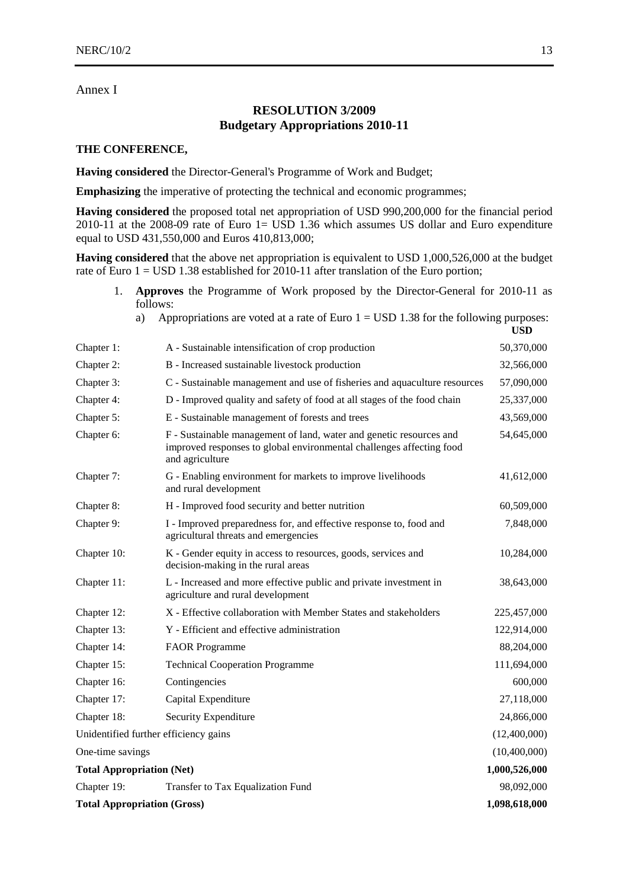#### Annex I

# **RESOLUTION 3/2009 Budgetary Appropriations 2010-11**

#### **THE CONFERENCE,**

**Having considered** the Director-General's Programme of Work and Budget;

**Emphasizing** the imperative of protecting the technical and economic programmes;

**Having considered** the proposed total net appropriation of USD 990,200,000 for the financial period 2010-11 at the 2008-09 rate of Euro 1= USD 1.36 which assumes US dollar and Euro expenditure equal to USD 431,550,000 and Euros 410,813,000;

**Having considered** that the above net appropriation is equivalent to USD 1,000,526,000 at the budget rate of Euro  $1 =$  USD 1.38 established for 2010-11 after translation of the Euro portion;

- 1. **Approves** the Programme of Work proposed by the Director-General for 2010-11 as follows:
	- a) Appropriations are voted at a rate of Euro  $1 =$  USD 1.38 for the following purposes:

| Chapter 1:                                       | A - Sustainable intensification of crop production                                                                                                             | 50,370,000    |  |  |
|--------------------------------------------------|----------------------------------------------------------------------------------------------------------------------------------------------------------------|---------------|--|--|
| Chapter 2:                                       | B - Increased sustainable livestock production                                                                                                                 | 32,566,000    |  |  |
| Chapter 3:                                       | C - Sustainable management and use of fisheries and aquaculture resources                                                                                      | 57,090,000    |  |  |
| Chapter 4:                                       | D - Improved quality and safety of food at all stages of the food chain                                                                                        | 25,337,000    |  |  |
| Chapter 5:                                       | E - Sustainable management of forests and trees                                                                                                                | 43,569,000    |  |  |
| Chapter 6:                                       | F - Sustainable management of land, water and genetic resources and<br>improved responses to global environmental challenges affecting food<br>and agriculture | 54,645,000    |  |  |
| Chapter 7:                                       | G - Enabling environment for markets to improve livelihoods<br>and rural development                                                                           | 41,612,000    |  |  |
| Chapter 8:                                       | H - Improved food security and better nutrition                                                                                                                | 60,509,000    |  |  |
| Chapter 9:                                       | I - Improved preparedness for, and effective response to, food and<br>agricultural threats and emergencies                                                     | 7,848,000     |  |  |
| Chapter 10:                                      | K - Gender equity in access to resources, goods, services and<br>decision-making in the rural areas                                                            | 10,284,000    |  |  |
| Chapter 11:                                      | L - Increased and more effective public and private investment in<br>agriculture and rural development                                                         | 38,643,000    |  |  |
| Chapter 12:                                      | X - Effective collaboration with Member States and stakeholders                                                                                                | 225,457,000   |  |  |
| Chapter 13:                                      | Y - Efficient and effective administration                                                                                                                     | 122,914,000   |  |  |
| Chapter 14:                                      | <b>FAOR Programme</b>                                                                                                                                          | 88,204,000    |  |  |
| Chapter 15:                                      | <b>Technical Cooperation Programme</b>                                                                                                                         | 111,694,000   |  |  |
| Chapter 16:                                      | Contingencies                                                                                                                                                  | 600,000       |  |  |
| Chapter 17:                                      | Capital Expenditure                                                                                                                                            | 27,118,000    |  |  |
| Chapter 18:                                      | Security Expenditure                                                                                                                                           | 24,866,000    |  |  |
| Unidentified further efficiency gains            |                                                                                                                                                                | (12,400,000)  |  |  |
| One-time savings                                 |                                                                                                                                                                | (10,400,000)  |  |  |
| <b>Total Appropriation (Net)</b>                 |                                                                                                                                                                | 1,000,526,000 |  |  |
| Chapter 19:<br>Transfer to Tax Equalization Fund |                                                                                                                                                                |               |  |  |
|                                                  | <b>Total Appropriation (Gross)</b><br>1,098,618,000                                                                                                            |               |  |  |

**USD**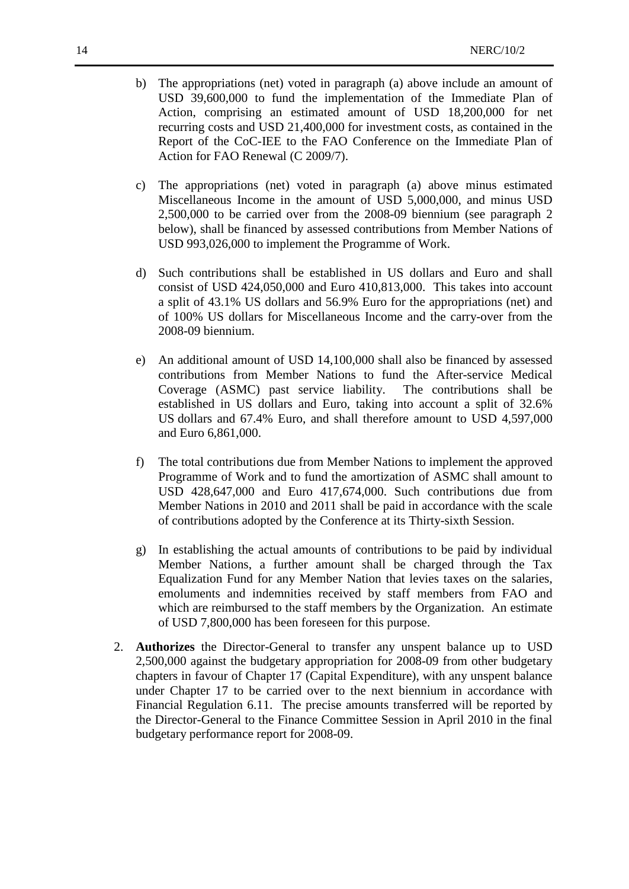- b) The appropriations (net) voted in paragraph (a) above include an amount of USD 39,600,000 to fund the implementation of the Immediate Plan of Action, comprising an estimated amount of USD 18,200,000 for net recurring costs and USD 21,400,000 for investment costs, as contained in the Report of the CoC-IEE to the FAO Conference on the Immediate Plan of Action for FAO Renewal (C 2009/7).
- c) The appropriations (net) voted in paragraph (a) above minus estimated Miscellaneous Income in the amount of USD 5,000,000, and minus USD 2,500,000 to be carried over from the 2008-09 biennium (see paragraph 2 below), shall be financed by assessed contributions from Member Nations of USD 993,026,000 to implement the Programme of Work.
- d) Such contributions shall be established in US dollars and Euro and shall consist of USD 424,050,000 and Euro 410,813,000. This takes into account a split of 43.1% US dollars and 56.9% Euro for the appropriations (net) and of 100% US dollars for Miscellaneous Income and the carry-over from the 2008-09 biennium.
- e) An additional amount of USD 14,100,000 shall also be financed by assessed contributions from Member Nations to fund the After-service Medical Coverage (ASMC) past service liability. The contributions shall be established in US dollars and Euro, taking into account a split of 32.6% US dollars and 67.4% Euro, and shall therefore amount to USD 4,597,000 and Euro 6,861,000.
- f) The total contributions due from Member Nations to implement the approved Programme of Work and to fund the amortization of ASMC shall amount to USD 428,647,000 and Euro 417,674,000. Such contributions due from Member Nations in 2010 and 2011 shall be paid in accordance with the scale of contributions adopted by the Conference at its Thirty-sixth Session.
- g) In establishing the actual amounts of contributions to be paid by individual Member Nations, a further amount shall be charged through the Tax Equalization Fund for any Member Nation that levies taxes on the salaries, emoluments and indemnities received by staff members from FAO and which are reimbursed to the staff members by the Organization. An estimate of USD 7,800,000 has been foreseen for this purpose.
- 2. **Authorizes** the Director-General to transfer any unspent balance up to USD 2,500,000 against the budgetary appropriation for 2008-09 from other budgetary chapters in favour of Chapter 17 (Capital Expenditure), with any unspent balance under Chapter 17 to be carried over to the next biennium in accordance with Financial Regulation 6.11. The precise amounts transferred will be reported by the Director-General to the Finance Committee Session in April 2010 in the final budgetary performance report for 2008-09.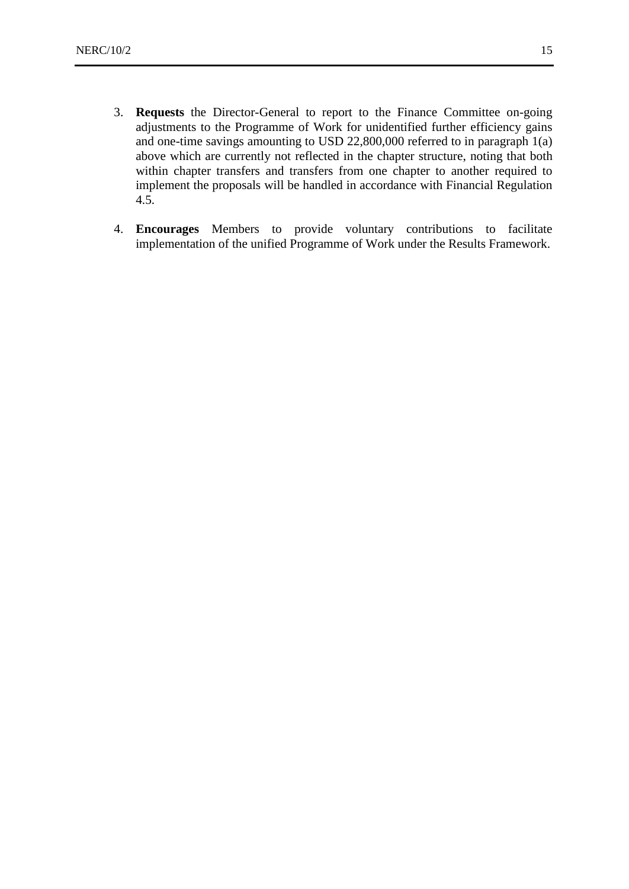- 3. **Requests** the Director-General to report to the Finance Committee on-going adjustments to the Programme of Work for unidentified further efficiency gains and one-time savings amounting to USD 22,800,000 referred to in paragraph 1(a) above which are currently not reflected in the chapter structure, noting that both within chapter transfers and transfers from one chapter to another required to implement the proposals will be handled in accordance with Financial Regulation 4.5.
- 4. **Encourages** Members to provide voluntary contributions to facilitate implementation of the unified Programme of Work under the Results Framework.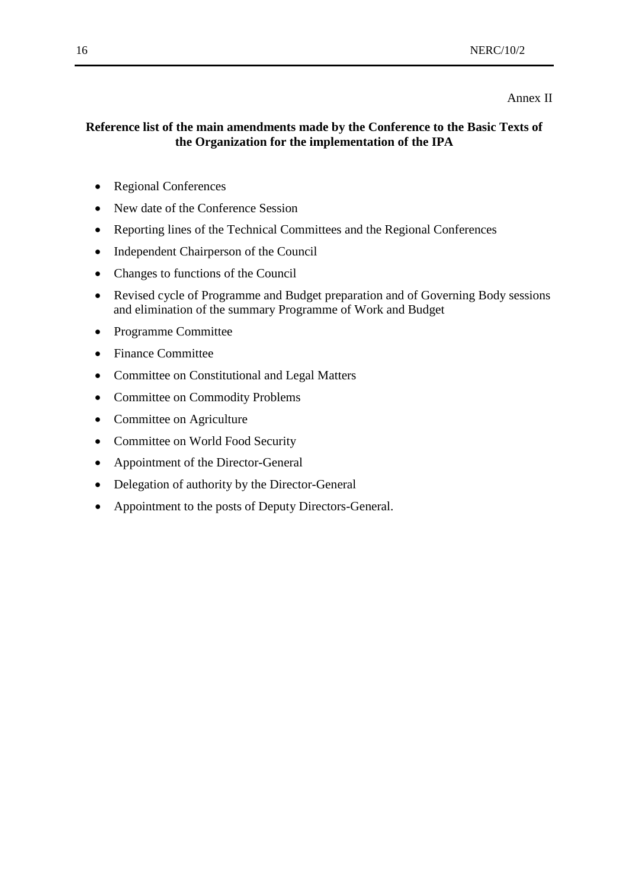#### Annex II

# **Reference list of the main amendments made by the Conference to the Basic Texts of the Organization for the implementation of the IPA**

- Regional Conferences
- New date of the Conference Session
- Reporting lines of the Technical Committees and the Regional Conferences
- Independent Chairperson of the Council
- Changes to functions of the Council
- Revised cycle of Programme and Budget preparation and of Governing Body sessions and elimination of the summary Programme of Work and Budget
- Programme Committee
- Finance Committee
- Committee on Constitutional and Legal Matters
- Committee on Commodity Problems
- Committee on Agriculture
- Committee on World Food Security
- Appointment of the Director-General
- Delegation of authority by the Director-General
- Appointment to the posts of Deputy Directors-General.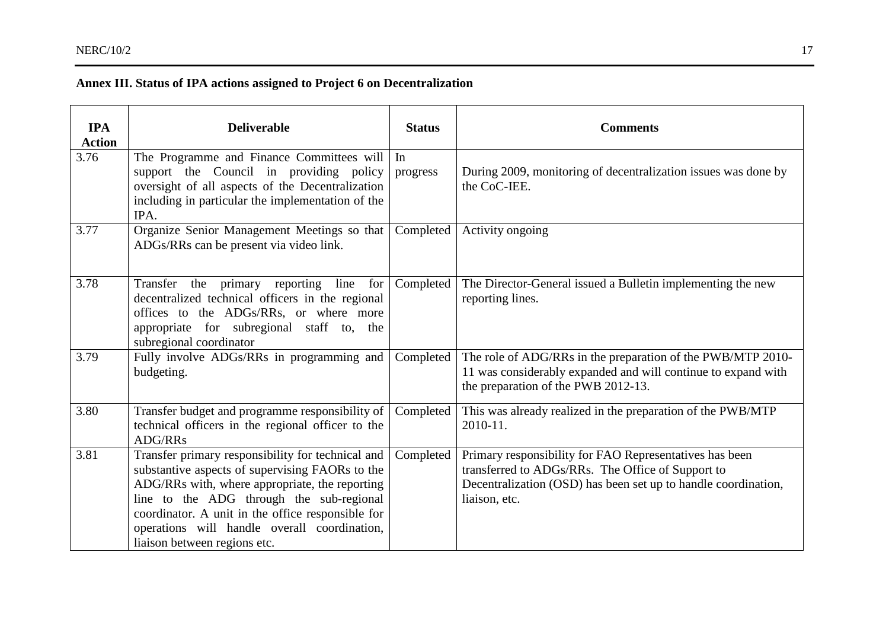# **Annex III. Status of IPA actions assigned to Project 6 on Decentralization**

| <b>IPA</b><br><b>Action</b> | <b>Deliverable</b>                                                                                                                                                                                                                                                                                                                      | <b>Status</b>  | <b>Comments</b>                                                                                                                                                                                 |
|-----------------------------|-----------------------------------------------------------------------------------------------------------------------------------------------------------------------------------------------------------------------------------------------------------------------------------------------------------------------------------------|----------------|-------------------------------------------------------------------------------------------------------------------------------------------------------------------------------------------------|
| 3.76                        | The Programme and Finance Committees will<br>support the Council in providing policy<br>oversight of all aspects of the Decentralization<br>including in particular the implementation of the<br>IPA.                                                                                                                                   | In<br>progress | During 2009, monitoring of decentralization issues was done by<br>the CoC-IEE.                                                                                                                  |
| 3.77                        | Organize Senior Management Meetings so that<br>ADGs/RRs can be present via video link.                                                                                                                                                                                                                                                  | Completed      | Activity ongoing                                                                                                                                                                                |
| 3.78                        | Transfer the primary reporting line<br>for<br>decentralized technical officers in the regional<br>offices to the ADGs/RRs, or where more<br>appropriate for subregional staff to, the<br>subregional coordinator                                                                                                                        | Completed      | The Director-General issued a Bulletin implementing the new<br>reporting lines.                                                                                                                 |
| 3.79                        | Fully involve ADGs/RRs in programming and<br>budgeting.                                                                                                                                                                                                                                                                                 | Completed      | The role of ADG/RRs in the preparation of the PWB/MTP 2010-<br>11 was considerably expanded and will continue to expand with<br>the preparation of the PWB 2012-13.                             |
| 3.80                        | Transfer budget and programme responsibility of<br>technical officers in the regional officer to the<br>ADG/RRs                                                                                                                                                                                                                         | Completed      | This was already realized in the preparation of the PWB/MTP<br>2010-11.                                                                                                                         |
| 3.81                        | Transfer primary responsibility for technical and<br>substantive aspects of supervising FAORs to the<br>ADG/RRs with, where appropriate, the reporting<br>line to the ADG through the sub-regional<br>coordinator. A unit in the office responsible for<br>operations will handle overall coordination,<br>liaison between regions etc. | Completed      | Primary responsibility for FAO Representatives has been<br>transferred to ADGs/RRs. The Office of Support to<br>Decentralization (OSD) has been set up to handle coordination,<br>liaison, etc. |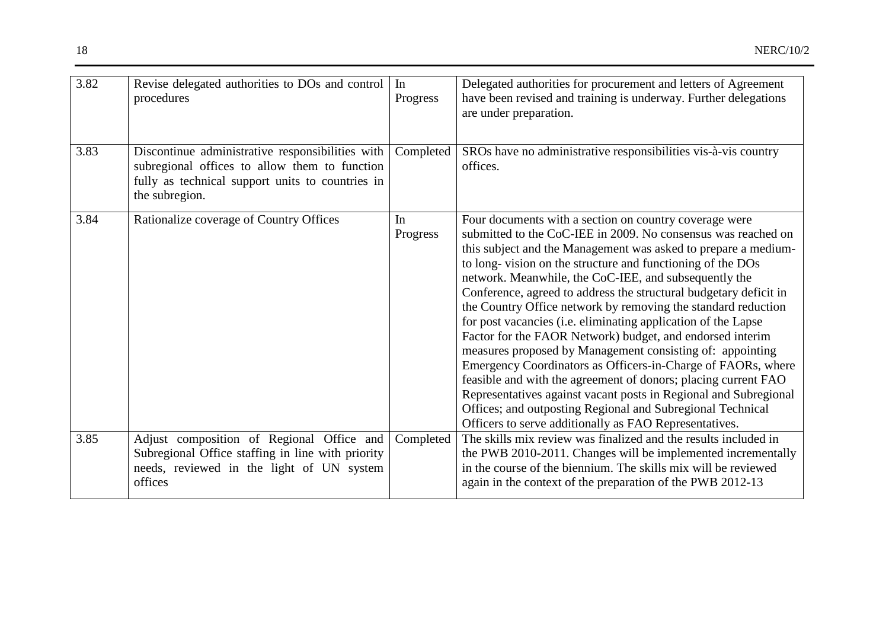| 3.82 | Revise delegated authorities to DOs and control<br>procedures                                                                                                           | In<br>Progress | Delegated authorities for procurement and letters of Agreement<br>have been revised and training is underway. Further delegations<br>are under preparation.                                                                                                                                                                                                                                                                                                                                                                                                                                                                                                                                                                                                                                                                                                                                                                                                                     |
|------|-------------------------------------------------------------------------------------------------------------------------------------------------------------------------|----------------|---------------------------------------------------------------------------------------------------------------------------------------------------------------------------------------------------------------------------------------------------------------------------------------------------------------------------------------------------------------------------------------------------------------------------------------------------------------------------------------------------------------------------------------------------------------------------------------------------------------------------------------------------------------------------------------------------------------------------------------------------------------------------------------------------------------------------------------------------------------------------------------------------------------------------------------------------------------------------------|
| 3.83 | Discontinue administrative responsibilities with<br>subregional offices to allow them to function<br>fully as technical support units to countries in<br>the subregion. | Completed      | SROs have no administrative responsibilities vis-à-vis country<br>offices.                                                                                                                                                                                                                                                                                                                                                                                                                                                                                                                                                                                                                                                                                                                                                                                                                                                                                                      |
| 3.84 | Rationalize coverage of Country Offices                                                                                                                                 | In<br>Progress | Four documents with a section on country coverage were<br>submitted to the CoC-IEE in 2009. No consensus was reached on<br>this subject and the Management was asked to prepare a medium-<br>to long-vision on the structure and functioning of the DOs<br>network. Meanwhile, the CoC-IEE, and subsequently the<br>Conference, agreed to address the structural budgetary deficit in<br>the Country Office network by removing the standard reduction<br>for post vacancies (i.e. eliminating application of the Lapse<br>Factor for the FAOR Network) budget, and endorsed interim<br>measures proposed by Management consisting of: appointing<br>Emergency Coordinators as Officers-in-Charge of FAORs, where<br>feasible and with the agreement of donors; placing current FAO<br>Representatives against vacant posts in Regional and Subregional<br>Offices; and outposting Regional and Subregional Technical<br>Officers to serve additionally as FAO Representatives. |
| 3.85 | Adjust composition of Regional Office and<br>Subregional Office staffing in line with priority<br>needs, reviewed in the light of UN system<br>offices                  | Completed      | The skills mix review was finalized and the results included in<br>the PWB 2010-2011. Changes will be implemented incrementally<br>in the course of the biennium. The skills mix will be reviewed<br>again in the context of the preparation of the PWB 2012-13                                                                                                                                                                                                                                                                                                                                                                                                                                                                                                                                                                                                                                                                                                                 |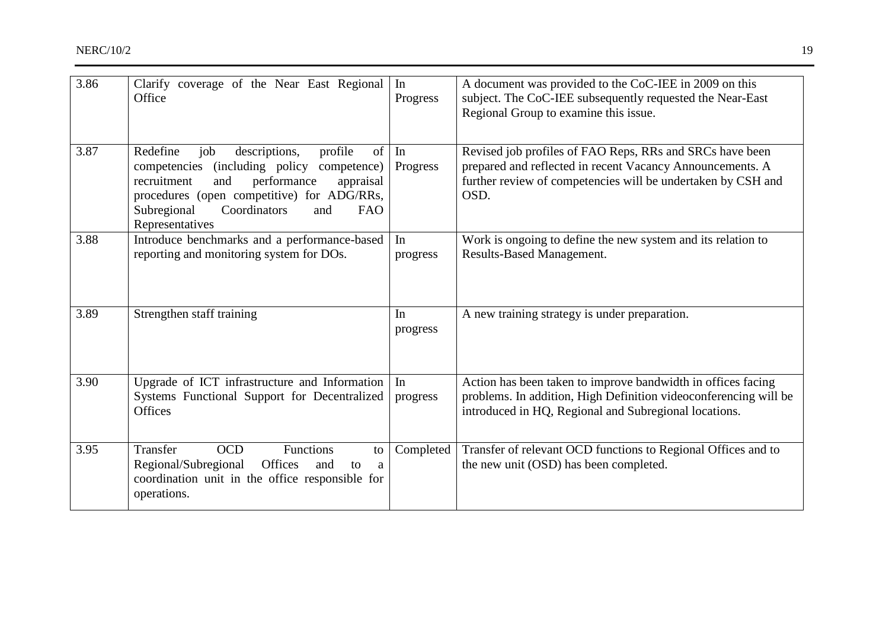| 3.86 | Clarify coverage of the Near East Regional<br>Office                                                                                                                                                                                                                  | In<br>Progress | A document was provided to the CoC-IEE in 2009 on this<br>subject. The CoC-IEE subsequently requested the Near-East<br>Regional Group to examine this issue.                                  |
|------|-----------------------------------------------------------------------------------------------------------------------------------------------------------------------------------------------------------------------------------------------------------------------|----------------|-----------------------------------------------------------------------------------------------------------------------------------------------------------------------------------------------|
| 3.87 | descriptions,<br>Redefine<br>job<br>profile<br>of<br>(including policy<br>competencies<br>competence)<br>recruitment<br>performance<br>and<br>appraisal<br>procedures (open competitive) for ADG/RRs,<br>Subregional<br>Coordinators<br>and<br>FAO<br>Representatives | In<br>Progress | Revised job profiles of FAO Reps, RRs and SRCs have been<br>prepared and reflected in recent Vacancy Announcements. A<br>further review of competencies will be undertaken by CSH and<br>OSD. |
| 3.88 | Introduce benchmarks and a performance-based<br>reporting and monitoring system for DOs.                                                                                                                                                                              | In<br>progress | Work is ongoing to define the new system and its relation to<br>Results-Based Management.                                                                                                     |
| 3.89 | Strengthen staff training                                                                                                                                                                                                                                             | In<br>progress | A new training strategy is under preparation.                                                                                                                                                 |
| 3.90 | Upgrade of ICT infrastructure and Information<br>Systems Functional Support for Decentralized<br>Offices                                                                                                                                                              | In<br>progress | Action has been taken to improve bandwidth in offices facing<br>problems. In addition, High Definition videoconferencing will be<br>introduced in HQ, Regional and Subregional locations.     |
| 3.95 | <b>OCD</b><br>Functions<br>Transfer<br>to<br>Regional/Subregional<br>Offices<br>and<br>to<br>a<br>coordination unit in the office responsible for<br>operations.                                                                                                      | Completed      | Transfer of relevant OCD functions to Regional Offices and to<br>the new unit (OSD) has been completed.                                                                                       |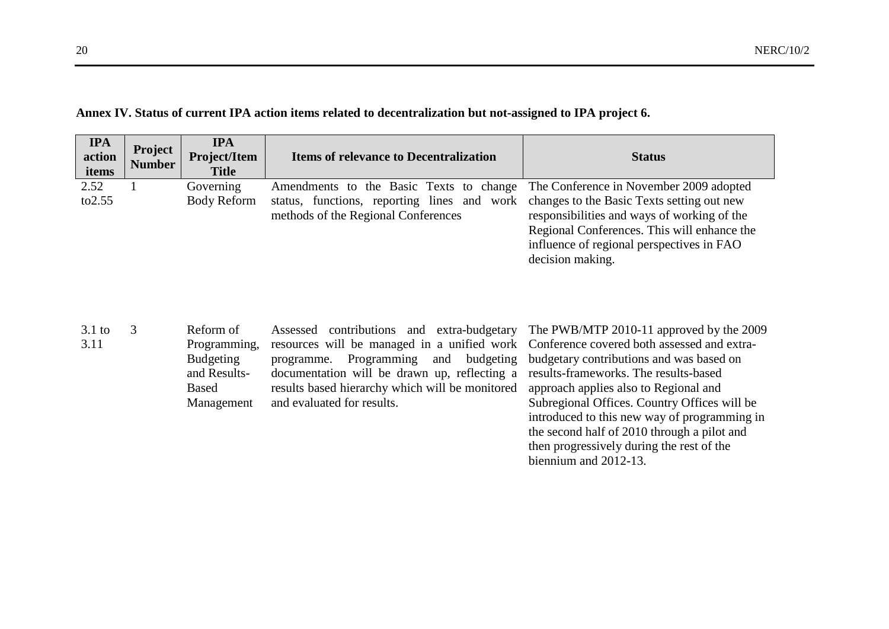| <b>IPA</b><br>action<br>items | Project<br><b>Number</b> | <b>IPA</b><br><b>Project/Item</b><br><b>Title</b> | <b>Items of relevance to Decentralization</b>                                                                                                                                                                    | <b>Status</b>                                                                                                                                               |
|-------------------------------|--------------------------|---------------------------------------------------|------------------------------------------------------------------------------------------------------------------------------------------------------------------------------------------------------------------|-------------------------------------------------------------------------------------------------------------------------------------------------------------|
| 2.52<br>to 2.55               |                          | Governing<br><b>Body Reform</b>                   | Amendments to the Basic Texts to change The Conference in November 2009 adopted<br>status, functions, reporting lines and work changes to the Basic Texts setting out new<br>methods of the Regional Conferences | responsibilities and ways of working of the<br>Regional Conferences. This will enhance the<br>influence of regional perspectives in FAO<br>decision making. |

# **Annex IV. Status of current IPA action items related to decentralization but not-assigned to IPA project 6.**

| $3.1$ to | Reform of        | Assessed contributions and extra-budgetary The PWB/MTP 2010-11 approved by the 2009     |                                              |
|----------|------------------|-----------------------------------------------------------------------------------------|----------------------------------------------|
| 3.11     | Programming,     | resources will be managed in a unified work Conference covered both assessed and extra- |                                              |
|          | <b>Budgeting</b> | programme. Programming and budgeting budgetary contributions and was based on           |                                              |
|          | and Results-     | documentation will be drawn up, reflecting a results-frameworks. The results-based      |                                              |
|          | Based            | results based hierarchy which will be monitored                                         | approach applies also to Regional and        |
|          | Management       | and evaluated for results.                                                              | Subregional Offices. Country Offices will be |
|          |                  |                                                                                         | introduced to this new way of programming in |
|          |                  |                                                                                         | the second half of 2010 through a pilot and  |
|          |                  |                                                                                         | then progressively during the rest of the    |
|          |                  |                                                                                         | biennium and 2012-13.                        |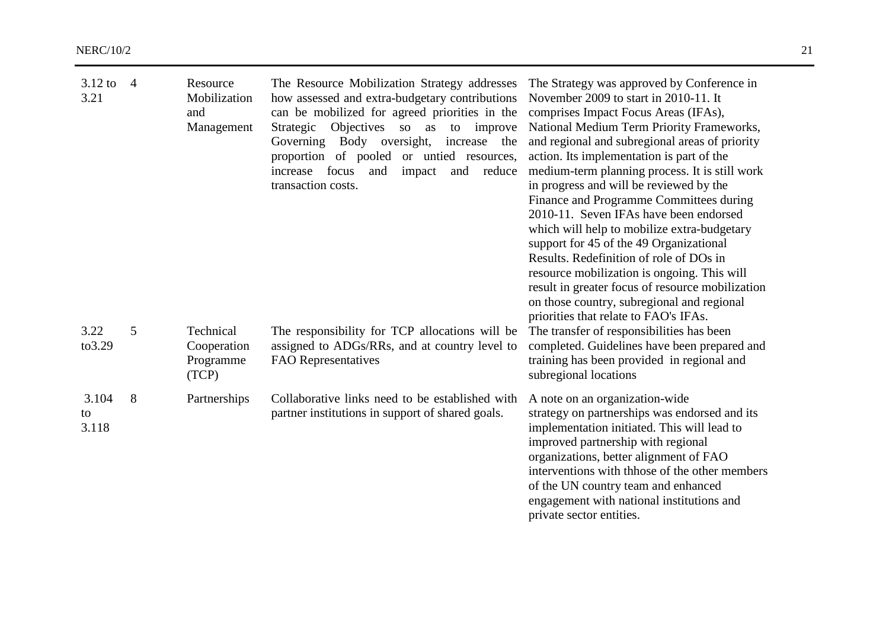| $3.12$ to<br>3.21    | $\overline{4}$ | Resource<br>Mobilization<br>and<br>Management  | The Resource Mobilization Strategy addresses<br>how assessed and extra-budgetary contributions<br>can be mobilized for agreed priorities in the<br>Strategic Objectives<br>to improve<br>so as<br>Governing Body oversight, increase<br>the<br>proportion of pooled or untied resources,<br>focus<br>impact<br>and reduce<br>increase<br>and<br>transaction costs. | The Strategy was approved by Conference in<br>November 2009 to start in 2010-11. It<br>comprises Impact Focus Areas (IFAs),<br>National Medium Term Priority Frameworks,<br>and regional and subregional areas of priority<br>action. Its implementation is part of the<br>medium-term planning process. It is still work<br>in progress and will be reviewed by the<br>Finance and Programme Committees during<br>2010-11. Seven IFAs have been endorsed<br>which will help to mobilize extra-budgetary<br>support for 45 of the 49 Organizational<br>Results. Redefinition of role of DOs in<br>resource mobilization is ongoing. This will<br>result in greater focus of resource mobilization<br>on those country, subregional and regional<br>priorities that relate to FAO's IFAs. |
|----------------------|----------------|------------------------------------------------|--------------------------------------------------------------------------------------------------------------------------------------------------------------------------------------------------------------------------------------------------------------------------------------------------------------------------------------------------------------------|------------------------------------------------------------------------------------------------------------------------------------------------------------------------------------------------------------------------------------------------------------------------------------------------------------------------------------------------------------------------------------------------------------------------------------------------------------------------------------------------------------------------------------------------------------------------------------------------------------------------------------------------------------------------------------------------------------------------------------------------------------------------------------------|
| 3.22<br>to3.29       | 5              | Technical<br>Cooperation<br>Programme<br>(TCP) | The responsibility for TCP allocations will be<br>assigned to ADGs/RRs, and at country level to<br><b>FAO</b> Representatives                                                                                                                                                                                                                                      | The transfer of responsibilities has been<br>completed. Guidelines have been prepared and<br>training has been provided in regional and<br>subregional locations                                                                                                                                                                                                                                                                                                                                                                                                                                                                                                                                                                                                                         |
| 3.104<br>to<br>3.118 | 8              | Partnerships                                   | Collaborative links need to be established with<br>partner institutions in support of shared goals.                                                                                                                                                                                                                                                                | A note on an organization-wide<br>strategy on partnerships was endorsed and its<br>implementation initiated. This will lead to<br>improved partnership with regional<br>organizations, better alignment of FAO<br>interventions with thhose of the other members<br>of the UN country team and enhanced<br>engagement with national institutions and<br>private sector entities.                                                                                                                                                                                                                                                                                                                                                                                                         |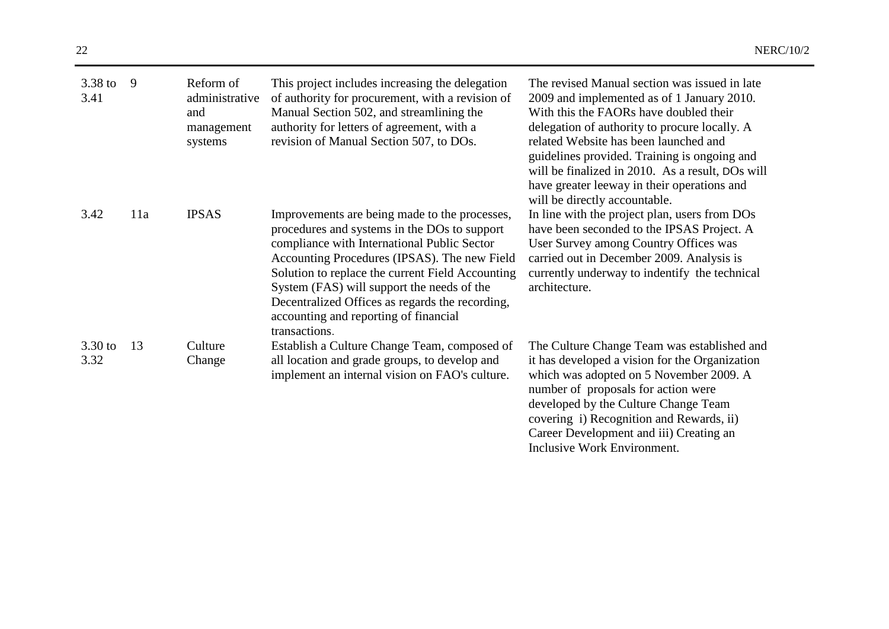| 3.38 to<br>3.41 | 9   | Reform of<br>administrative<br>and<br>management<br>systems | This project includes increasing the delegation<br>of authority for procurement, with a revision of<br>Manual Section 502, and streamlining the<br>authority for letters of agreement, with a<br>revision of Manual Section 507, to DOs.                                                                                                                                                                    | The revised Manual section was issued in late<br>2009 and implemented as of 1 January 2010.<br>With this the FAORs have doubled their<br>delegation of authority to procure locally. A<br>related Website has been launched and<br>guidelines provided. Training is ongoing and<br>will be finalized in 2010. As a result, DOs will<br>have greater leeway in their operations and<br>will be directly accountable. |
|-----------------|-----|-------------------------------------------------------------|-------------------------------------------------------------------------------------------------------------------------------------------------------------------------------------------------------------------------------------------------------------------------------------------------------------------------------------------------------------------------------------------------------------|---------------------------------------------------------------------------------------------------------------------------------------------------------------------------------------------------------------------------------------------------------------------------------------------------------------------------------------------------------------------------------------------------------------------|
| 3.42            | 11a | <b>IPSAS</b>                                                | Improvements are being made to the processes,<br>procedures and systems in the DOs to support<br>compliance with International Public Sector<br>Accounting Procedures (IPSAS). The new Field<br>Solution to replace the current Field Accounting<br>System (FAS) will support the needs of the<br>Decentralized Offices as regards the recording,<br>accounting and reporting of financial<br>transactions. | In line with the project plan, users from DOs<br>have been seconded to the IPSAS Project. A<br>User Survey among Country Offices was<br>carried out in December 2009. Analysis is<br>currently underway to indentify the technical<br>architecture.                                                                                                                                                                 |
| 3.30 to<br>3.32 | 13  | Culture<br>Change                                           | Establish a Culture Change Team, composed of<br>all location and grade groups, to develop and<br>implement an internal vision on FAO's culture.                                                                                                                                                                                                                                                             | The Culture Change Team was established and<br>it has developed a vision for the Organization<br>which was adopted on 5 November 2009. A<br>number of proposals for action were<br>developed by the Culture Change Team<br>covering i) Recognition and Rewards, ii)<br>Career Development and iii) Creating an<br>Inclusive Work Environment.                                                                       |